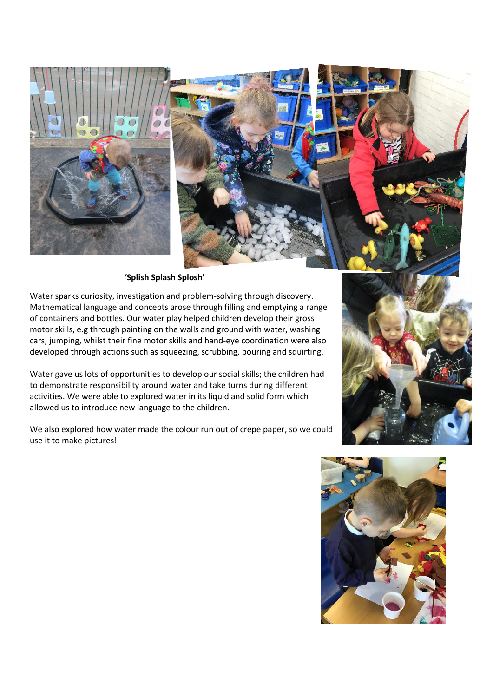

 **'Splish Splash Splosh'**

Water sparks curiosity, investigation and problem-solving through discovery. Mathematical language and concepts arose through filling and emptying a range of containers and bottles. Our water play helped children develop their gross motor skills, e.g through painting on the walls and ground with water, washing cars, jumping, whilst their fine motor skills and hand-eye coordination were also developed through actions such as squeezing, scrubbing, pouring and squirting.

Water gave us lots of opportunities to develop our social skills; the children had to demonstrate responsibility around water and take turns during different activities. We were able to explored water in its liquid and solid form which allowed us to introduce new language to the children.

We also explored how water made the colour run out of crepe paper, so we could use it to make pictures!